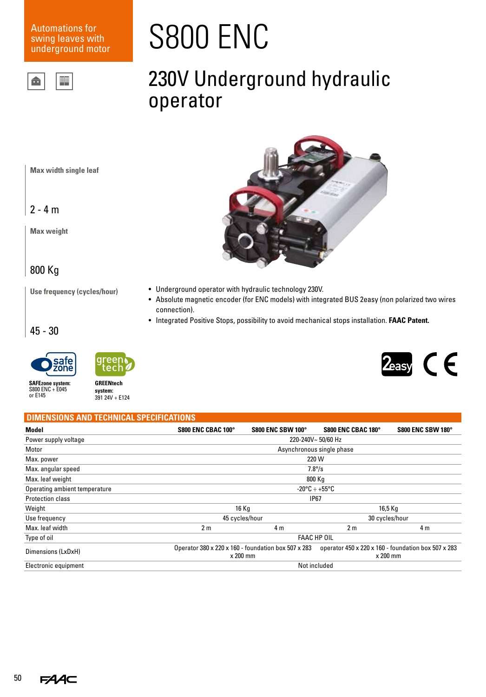### Automations for swing leaves with underground motor



# S800 ENC

### 230V Underground hydraulic operator

**Max width single leaf**

 $2 - 4 m$ 

**Max weight**

### 800 Kg

**Use frequency (cycles/hour)**



- Underground operator with hydraulic technology 230V.
- Absolute magnetic encoder (for ENC models) with integrated BUS 2easy (non polarized two wires connection).
- Integrated Positive Stops, possibility to avoid mechanical stops installation. **FAAC Patent.**

45 - 30



S800 ENC + E045 or E145



**SAFEzone system:**

## **GREENtech**

**system:** 391 24V + E124



#### **DIMENSIONS AND TECHNICAL SPECIFICATIONS Model S800 ENC CBAC 100° S800 ENC SBW 100° S800 ENC CBAC 180° S800 ENC SBW 180°** Power supply voltage 220-240V~ 50/60 Hz Motor Asynchronous single phase Max. power 220 W Max. angular speed 7.8°/s Max. leaf weight 800 Kg Operating ambient temperature -20°C ÷ +55°C Protection class and the contract of the contract of the contract of the contract of the contract of the contract of the contract of the contract of the contract of the contract of the contract of the contract of the contr Weight 16 Kg 16,5 Kg Use frequency and the cycles/hour 45 cycles/hour 45 cycles/hour 30 cycles/hour Max. leaf width 2 m 4 m 2 m 4 m Type of oil **FAAC HP OIL** FAAC HP OIL Dimensions (LxDxH) Operator 380 x 220 x 160 - foundation box 507 x 283 x 200 mm operator 450 x 220 x 160 - foundation box 507 x 283 x 200 mm Electronic equipment Not included